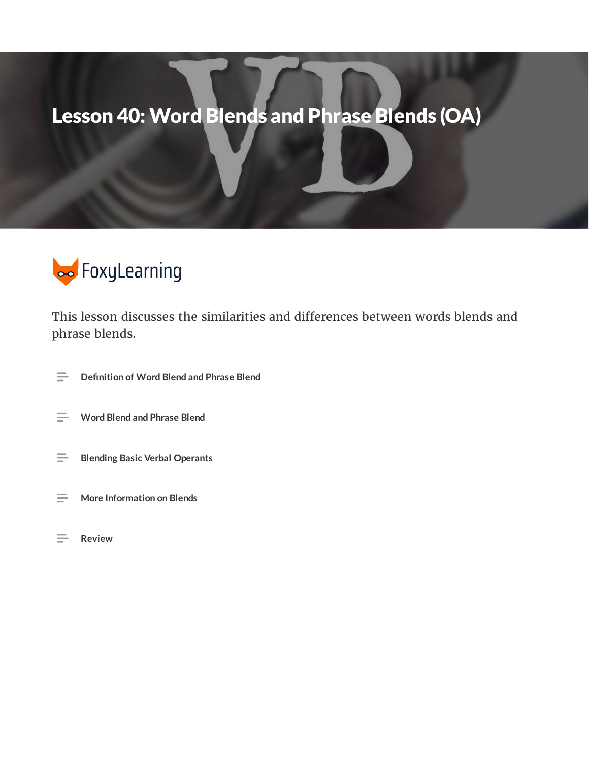# Lesson 40: Word Blends and Phrase Blends (OA)



This lesson discusses the similarities and differences between words blends and phrase blends.

- **Denition of Word Blend and Phrase Blend**  $\equiv$
- **Word Blend and Phrase Blend**
- $\equiv$ **Blending Basic Verbal Operants**
- **More Information on Blends**  $\equiv$
- **Review**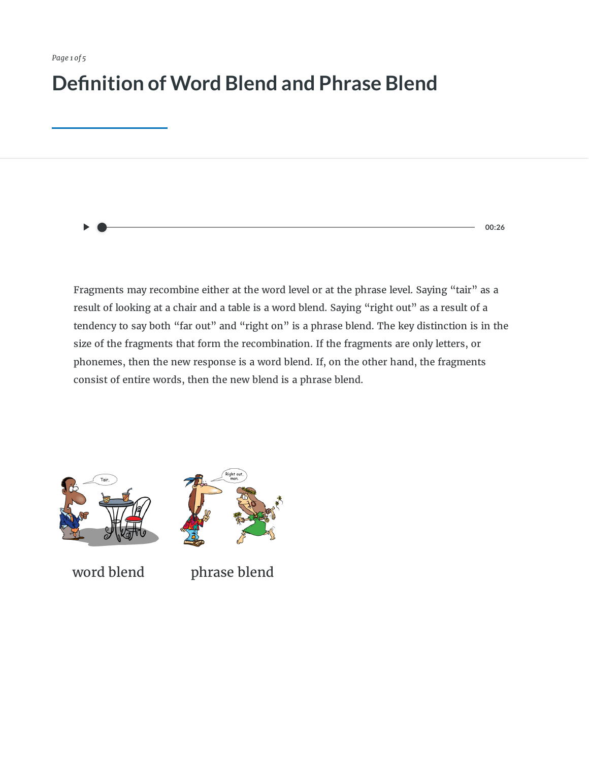### **Definition of Word Blend and Phrase Blend**

**00:26**

Fragments may recombine either at the word level or at the phrase level. Saying "tair" as a result of looking at a chair and a table is a word blend. Saying "right out" as a result of a tendency to say both "far out" and "right on" is a phrase blend. The key distinction is in the size of the fragments that form the recombination. If the fragments are only letters, or phonemes, then the new response is a word blend. If, on the other hand, the fragments consist of entire words, then the new blend is a phrase blend.





word blend phrase blend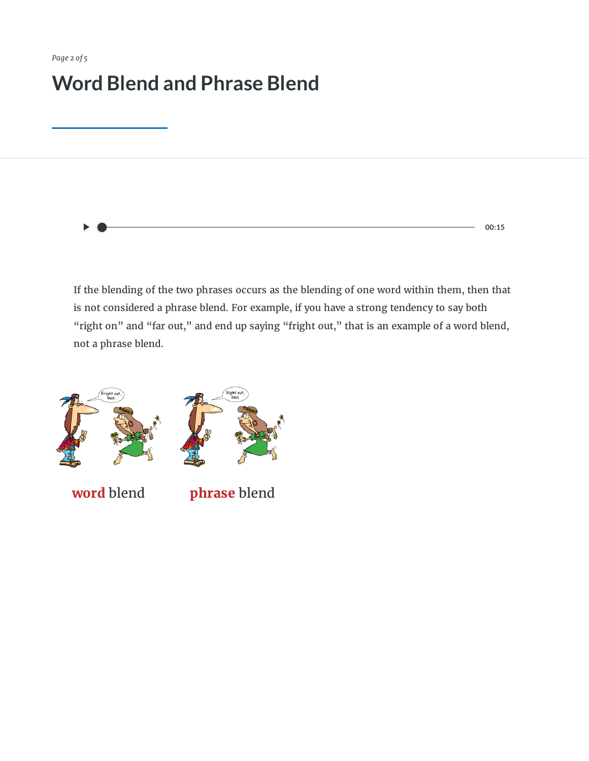## **Word Blend and Phrase Blend**

**00:15**

If the blending of the two phrases occurs as the blending of one word within them, then that is not considered a phrase blend. For example, if you have a strong tendency to say both "right on" and "far out," and end up saying "fright out," that is an example of a word blend, not a phrase blend.



**word** blend **phrase** blend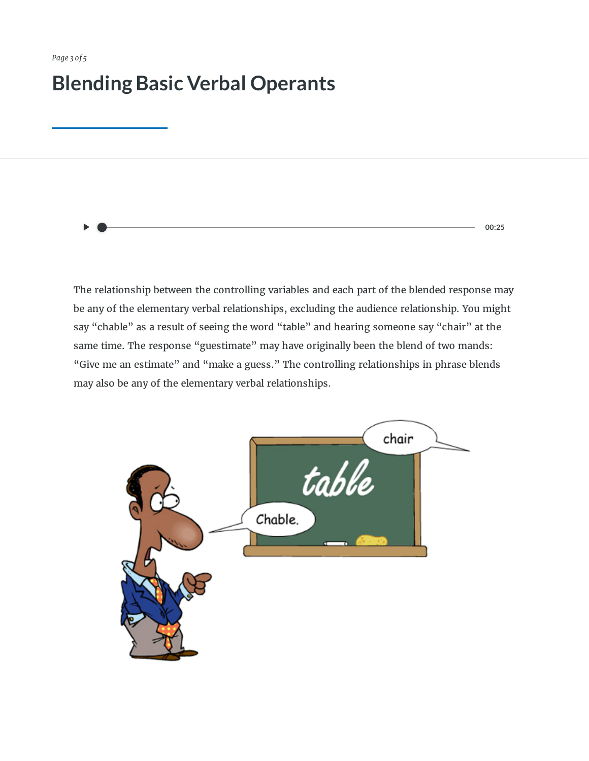### **Blending Basic Verbal Operants**

**00:25**

The relationship between the controlling variables and each part of the blended response may be any of the elementary verbal relationships, excluding the audience relationship. You might say "chable" as a result of seeing the word "table" and hearing someone say "chair" at the same time. The response "guestimate" may have originally been the blend of two mands: "Give me an estimate" and "make a guess." The controlling relationships in phrase blends may also be any of the elementary verbal relationships.

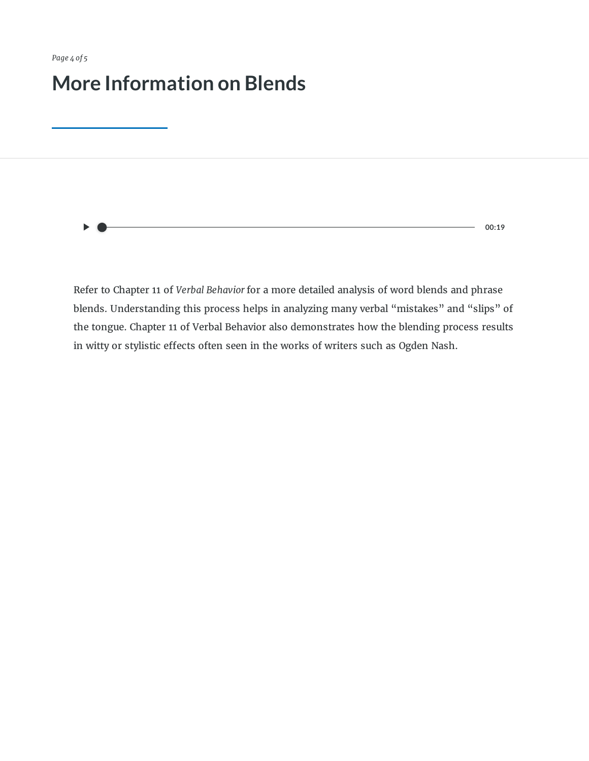### **More Information on Blends**

**00:19**

Refer to Chapter 11 of *Verbal Behavior* for a more detailed analysis of word blends and phrase blends. Understanding this process helps in analyzing many verbal "mistakes" and "slips" of the tongue. Chapter 11 of Verbal Behavior also demonstrates how the blending process results in witty or stylistic effects often seen in the works of writers such as Ogden Nash.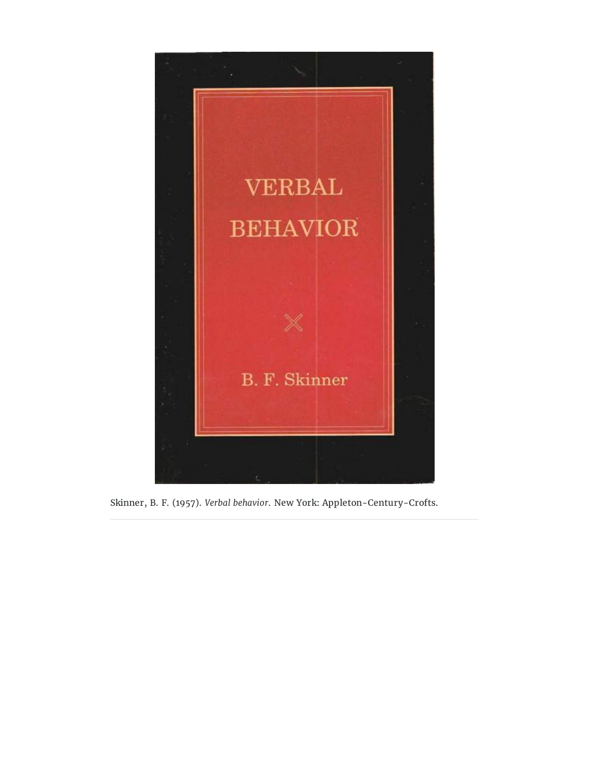

Skinner, B. F. (1957). *Verbal behavior*. New York: Appleton-Century-Crofts.